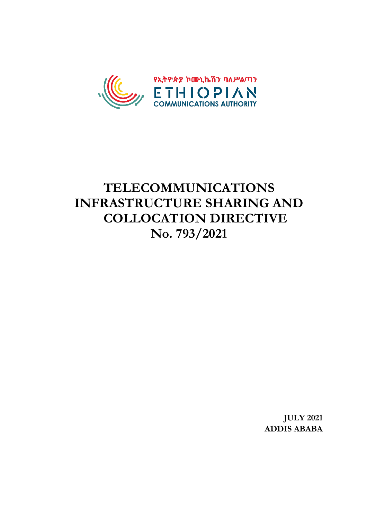

# **TELECOMMUNICATIONS INFRASTRUCTURE SHARING AND COLLOCATION DIRECTIVE No. 793/2021**

**JULY 2021 ADDIS ABABA**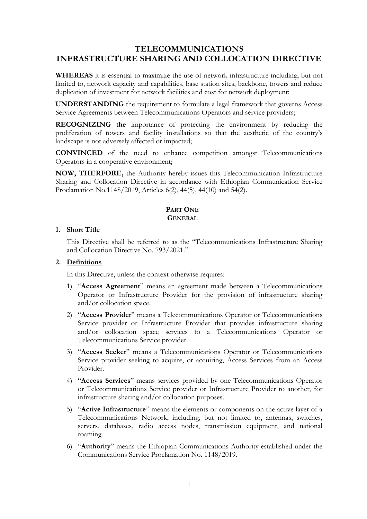## **TELECOMMUNICATIONS INFRASTRUCTURE SHARING AND COLLOCATION DIRECTIVE**

**WHEREAS** it is essential to maximize the use of network infrastructure including, but not limited to, network capacity and capabilities, base station sites, backbone, towers and reduce duplication of investment for network facilities and cost for network deployment;

**UNDERSTANDING** the requirement to formulate a legal framework that governs Access Service Agreements between Telecommunications Operators and service providers;

**RECOGNIZING the** importance of protecting the environment by reducing the proliferation of towers and facility installations so that the aesthetic of the country's landscape is not adversely affected or impacted;

**CONVINCED** of the need to enhance competition amongst Telecommunications Operators in a cooperative environment;

**NOW, THERFORE,** the Authority hereby issues this Telecommunication Infrastructure Sharing and Collocation Directive in accordance with Ethiopian Communication Service Proclamation No.1148/2019, Articles 6(2), 44(5), 44(10) and 54(2).

## **PART ONE GENERAL**

## **1. Short Title**

This Directive shall be referred to as the "Telecommunications Infrastructure Sharing and Collocation Directive No. 793/2021."

## **2. Definitions**

In this Directive, unless the context otherwise requires:

- 1) "**Access Agreement**" means an agreement made between a Telecommunications Operator or Infrastructure Provider for the provision of infrastructure sharing and/or collocation space.
- 2) "**Access Provider**" means a Telecommunications Operator or Telecommunications Service provider or Infrastructure Provider that provides infrastructure sharing and/or collocation space services to a Telecommunications Operator or Telecommunications Service provider.
- 3) "**Access Seeker**" means a Telecommunications Operator or Telecommunications Service provider seeking to acquire, or acquiring, Access Services from an Access Provider.
- 4) "**Access Services**" means services provided by one Telecommunications Operator or Telecommunications Service provider or Infrastructure Provider to another, for infrastructure sharing and/or collocation purposes.
- 5) "**Active Infrastructure**" means the elements or components on the active layer of a Telecommunications Network, including, but not limited to, antennas, switches, servers, databases, radio access nodes, transmission equipment, and national roaming.
- 6) "**Authority**" means the Ethiopian Communications Authority established under the Communications Service Proclamation No. 1148/2019.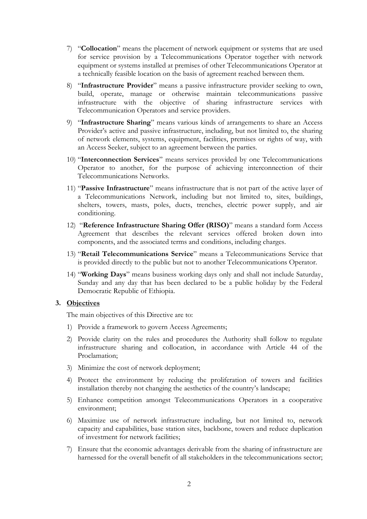- 7) "**Collocation**" means the placement of network equipment or systems that are used for service provision by a Telecommunications Operator together with network equipment or systems installed at premises of other Telecommunications Operator at a technically feasible location on the basis of agreement reached between them.
- 8) "**Infrastructure Provider**" means a passive infrastructure provider seeking to own, build, operate, manage or otherwise maintain telecommunications passive infrastructure with the objective of sharing infrastructure services with Telecommunication Operators and service providers.
- 9) "**Infrastructure Sharing**" means various kinds of arrangements to share an Access Provider's active and passive infrastructure, including, but not limited to, the sharing of network elements, systems, equipment, facilities, premises or rights of way, with an Access Seeker, subject to an agreement between the parties.
- 10) "**Interconnection Services**" means services provided by one Telecommunications Operator to another, for the purpose of achieving interconnection of their Telecommunications Networks.
- 11) "**Passive Infrastructure**" means infrastructure that is not part of the active layer of a Telecommunications Network, including but not limited to, sites, buildings, shelters, towers, masts, poles, ducts, trenches, electric power supply, and air conditioning.
- 12) "**Reference Infrastructure Sharing Offer (RISO)**" means a standard form Access Agreement that describes the relevant services offered broken down into components, and the associated terms and conditions, including charges.
- 13) "**Retail Telecommunications Service**" means a Telecommunications Service that is provided directly to the public but not to another Telecommunications Operator.
- 14) "**Working Days**" means business working days only and shall not include Saturday, Sunday and any day that has been declared to be a public holiday by the Federal Democratic Republic of Ethiopia.

#### **3. Objectives**

The main objectives of this Directive are to:

- 1) Provide a framework to govern Access Agreements;
- 2) Provide clarity on the rules and procedures the Authority shall follow to regulate infrastructure sharing and collocation, in accordance with Article 44 of the Proclamation;
- 3) Minimize the cost of network deployment;
- 4) Protect the environment by reducing the proliferation of towers and facilities installation thereby not changing the aesthetics of the country's landscape;
- 5) Enhance competition amongst Telecommunications Operators in a cooperative environment;
- 6) Maximize use of network infrastructure including, but not limited to, network capacity and capabilities, base station sites, backbone, towers and reduce duplication of investment for network facilities;
- 7) Ensure that the economic advantages derivable from the sharing of infrastructure are harnessed for the overall benefit of all stakeholders in the telecommunications sector;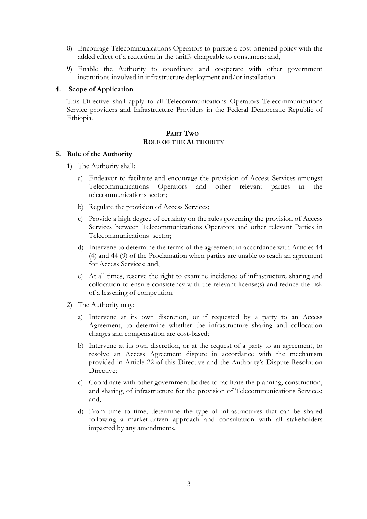- 8) Encourage Telecommunications Operators to pursue a cost-oriented policy with the added effect of a reduction in the tariffs chargeable to consumers; and,
- 9) Enable the Authority to coordinate and cooperate with other government institutions involved in infrastructure deployment and/or installation.

#### **4. Scope of Application**

This Directive shall apply to all Telecommunications Operators Telecommunications Service providers and Infrastructure Providers in the Federal Democratic Republic of Ethiopia.

#### **PART TWO ROLE OF THE AUTHORITY**

#### **5. Role of the Authority**

- 1) The Authority shall:
	- a) Endeavor to facilitate and encourage the provision of Access Services amongst Telecommunications Operators and other relevant parties in the telecommunications sector;
	- b) Regulate the provision of Access Services;
	- c) Provide a high degree of certainty on the rules governing the provision of Access Services between Telecommunications Operators and other relevant Parties in Telecommunications sector;
	- d) Intervene to determine the terms of the agreement in accordance with Articles 44 (4) and 44 (9) of the Proclamation when parties are unable to reach an agreement for Access Services; and,
	- e) At all times, reserve the right to examine incidence of infrastructure sharing and collocation to ensure consistency with the relevant license(s) and reduce the risk of a lessening of competition.
- 2) The Authority may:
	- a) Intervene at its own discretion, or if requested by a party to an Access Agreement, to determine whether the infrastructure sharing and collocation charges and compensation are cost-based;
	- b) Intervene at its own discretion, or at the request of a party to an agreement, to resolve an Access Agreement dispute in accordance with the mechanism provided in Article 22 of this Directive and the Authority's Dispute Resolution Directive;
	- c) Coordinate with other government bodies to facilitate the planning, construction, and sharing, of infrastructure for the provision of Telecommunications Services; and,
	- d) From time to time, determine the type of infrastructures that can be shared following a market-driven approach and consultation with all stakeholders impacted by any amendments.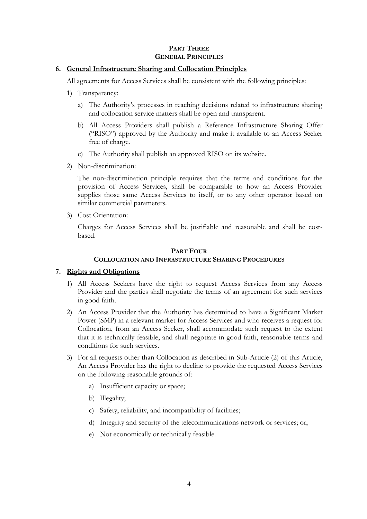## **PART THREE GENERAL PRINCIPLES**

## **6. General Infrastructure Sharing and Collocation Principles**

All agreements for Access Services shall be consistent with the following principles:

- 1) Transparency:
	- a) The Authority's processes in reaching decisions related to infrastructure sharing and collocation service matters shall be open and transparent.
	- b) All Access Providers shall publish a Reference Infrastructure Sharing Offer ("RISO") approved by the Authority and make it available to an Access Seeker free of charge.
	- c) The Authority shall publish an approved RISO on its website.
- 2) Non-discrimination:

The non-discrimination principle requires that the terms and conditions for the provision of Access Services, shall be comparable to how an Access Provider supplies those same Access Services to itself, or to any other operator based on similar commercial parameters.

3) Cost Orientation:

Charges for Access Services shall be justifiable and reasonable and shall be costbased.

## **PART FOUR COLLOCATION AND INFRASTRUCTURE SHARING PROCEDURES**

## **7. Rights and Obligations**

- 1) All Access Seekers have the right to request Access Services from any Access Provider and the parties shall negotiate the terms of an agreement for such services in good faith.
- 2) An Access Provider that the Authority has determined to have a Significant Market Power (SMP) in a relevant market for Access Services and who receives a request for Collocation, from an Access Seeker, shall accommodate such request to the extent that it is technically feasible, and shall negotiate in good faith, reasonable terms and conditions for such services.
- 3) For all requests other than Collocation as described in Sub-Article (2) of this Article, An Access Provider has the right to decline to provide the requested Access Services on the following reasonable grounds of:
	- a) Insufficient capacity or space;
	- b) Illegality;
	- c) Safety, reliability, and incompatibility of facilities;
	- d) Integrity and security of the telecommunications network or services; or,
	- e) Not economically or technically feasible.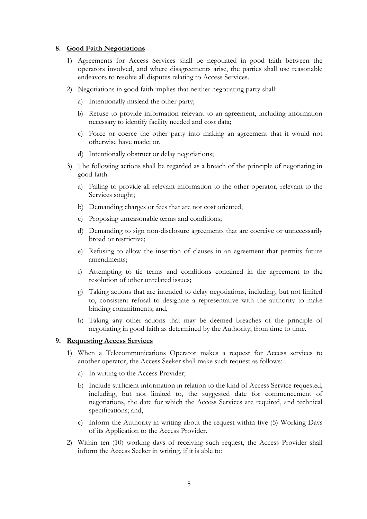## **8. Good Faith Negotiations**

- 1) Agreements for Access Services shall be negotiated in good faith between the operators involved, and where disagreements arise, the parties shall use reasonable endeavors to resolve all disputes relating to Access Services.
- 2) Negotiations in good faith implies that neither negotiating party shall:
	- a) Intentionally mislead the other party;
	- b) Refuse to provide information relevant to an agreement, including information necessary to identify facility needed and cost data;
	- c) Force or coerce the other party into making an agreement that it would not otherwise have made; or,
	- d) Intentionally obstruct or delay negotiations;
- 3) The following actions shall be regarded as a breach of the principle of negotiating in good faith:
	- a) Failing to provide all relevant information to the other operator, relevant to the Services sought;
	- b) Demanding charges or fees that are not cost oriented;
	- c) Proposing unreasonable terms and conditions;
	- d) Demanding to sign non-disclosure agreements that are coercive or unnecessarily broad or restrictive;
	- e) Refusing to allow the insertion of clauses in an agreement that permits future amendments;
	- f) Attempting to tie terms and conditions contained in the agreement to the resolution of other unrelated issues;
	- g) Taking actions that are intended to delay negotiations, including, but not limited to, consistent refusal to designate a representative with the authority to make binding commitments; and,
	- h) Taking any other actions that may be deemed breaches of the principle of negotiating in good faith as determined by the Authority, from time to time.

## **9. Requesting Access Services**

- 1) When a Telecommunications Operator makes a request for Access services to another operator, the Access Seeker shall make such request as follows:
	- a) In writing to the Access Provider;
	- b) Include sufficient information in relation to the kind of Access Service requested, including, but not limited to, the suggested date for commencement of negotiations, the date for which the Access Services are required, and technical specifications; and,
	- c) Inform the Authority in writing about the request within five (5) Working Days of its Application to the Access Provider.
- 2) Within ten (10) working days of receiving such request, the Access Provider shall inform the Access Seeker in writing, if it is able to: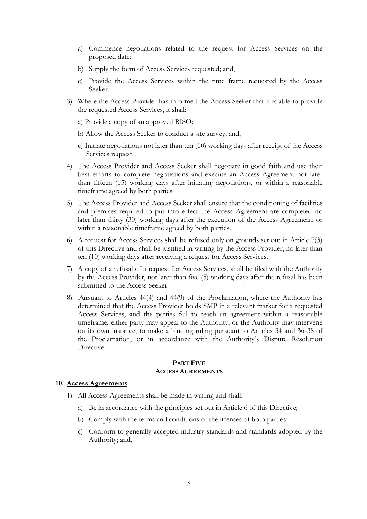- a) Commence negotiations related to the request for Access Services on the proposed date;
- b) Supply the form of Access Services requested; and,
- c) Provide the Access Services within the time frame requested by the Access Seeker.
- 3) Where the Access Provider has informed the Access Seeker that it is able to provide the requested Access Services, it shall:
	- a) Provide a copy of an approved RISO;
	- b) Allow the Access Seeker to conduct a site survey; and,
	- c) Initiate negotiations not later than ten (10) working days after receipt of the Access Services request.
- 4) The Access Provider and Access Seeker shall negotiate in good faith and use their best efforts to complete negotiations and execute an Access Agreement not later than fifteen (15) working days after initiating negotiations, or within a reasonable timeframe agreed by both parties.
- 5) The Access Provider and Access Seeker shall ensure that the conditioning of facilities and premises required to put into effect the Access Agreement are completed no later than thirty (30) working days after the execution of the Access Agreement, or within a reasonable timeframe agreed by both parties.
- 6) A request for Access Services shall be refused only on grounds set out in Article 7(3) of this Directive and shall be justified in writing by the Access Provider, no later than ten (10) working days after receiving a request for Access Services.
- 7) A copy of a refusal of a request for Access Services, shall be filed with the Authority by the Access Provider, not later than five (5) working days after the refusal has been submitted to the Access Seeker.
- 8) Pursuant to Articles 44(4) and 44(9) of the Proclamation, where the Authority has determined that the Access Provider holds SMP in a relevant market for a requested Access Services, and the parties fail to reach an agreement within a reasonable timeframe, either party may appeal to the Authority, or the Authority may intervene on its own instance, to make a binding ruling pursuant to Articles 34 and 36-38 of the Proclamation, or in accordance with the Authority's Dispute Resolution Directive.

#### **PART FIVE ACCESS AGREEMENTS**

#### **10. Access Agreements**

- 1) All Access Agreements shall be made in writing and shall:
	- a) Be in accordance with the principles set out in Article 6 of this Directive;
	- b) Comply with the terms and conditions of the licenses of both parties;
	- c) Conform to generally accepted industry standards and standards adopted by the Authority; and,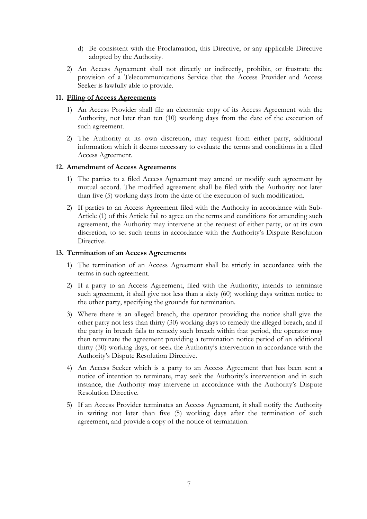- d) Be consistent with the Proclamation, this Directive, or any applicable Directive adopted by the Authority.
- 2) An Access Agreement shall not directly or indirectly, prohibit, or frustrate the provision of a Telecommunications Service that the Access Provider and Access Seeker is lawfully able to provide.

## **11. Filing of Access Agreements**

- 1) An Access Provider shall file an electronic copy of its Access Agreement with the Authority, not later than ten (10) working days from the date of the execution of such agreement.
- 2) The Authority at its own discretion, may request from either party, additional information which it deems necessary to evaluate the terms and conditions in a filed Access Agreement.

## **12. Amendment of Access Agreements**

- 1) The parties to a filed Access Agreement may amend or modify such agreement by mutual accord. The modified agreement shall be filed with the Authority not later than five (5) working days from the date of the execution of such modification.
- 2) If parties to an Access Agreement filed with the Authority in accordance with Sub-Article (1) of this Article fail to agree on the terms and conditions for amending such agreement, the Authority may intervene at the request of either party, or at its own discretion, to set such terms in accordance with the Authority's Dispute Resolution Directive

## **13. Termination of an Access Agreements**

- 1) The termination of an Access Agreement shall be strictly in accordance with the terms in such agreement.
- 2) If a party to an Access Agreement, filed with the Authority, intends to terminate such agreement, it shall give not less than a sixty (60) working days written notice to the other party, specifying the grounds for termination.
- 3) Where there is an alleged breach, the operator providing the notice shall give the other party not less than thirty (30) working days to remedy the alleged breach, and if the party in breach fails to remedy such breach within that period, the operator may then terminate the agreement providing a termination notice period of an additional thirty (30) working days, or seek the Authority's intervention in accordance with the Authority's Dispute Resolution Directive.
- 4) An Access Seeker which is a party to an Access Agreement that has been sent a notice of intention to terminate, may seek the Authority's intervention and in such instance, the Authority may intervene in accordance with the Authority's Dispute Resolution Directive.
- 5) If an Access Provider terminates an Access Agreement, it shall notify the Authority in writing not later than five (5) working days after the termination of such agreement, and provide a copy of the notice of termination.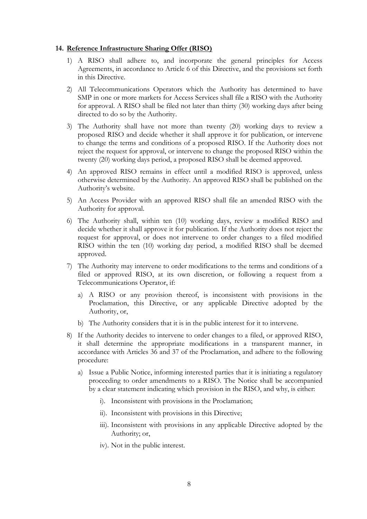#### **14. Reference Infrastructure Sharing Offer (RISO)**

- 1) A RISO shall adhere to, and incorporate the general principles for Access Agreements, in accordance to Article 6 of this Directive, and the provisions set forth in this Directive.
- 2) All Telecommunications Operators which the Authority has determined to have SMP in one or more markets for Access Services shall file a RISO with the Authority for approval. A RISO shall be filed not later than thirty (30) working days after being directed to do so by the Authority.
- 3) The Authority shall have not more than twenty (20) working days to review a proposed RISO and decide whether it shall approve it for publication, or intervene to change the terms and conditions of a proposed RISO. If the Authority does not reject the request for approval, or intervene to change the proposed RISO within the twenty (20) working days period, a proposed RISO shall be deemed approved.
- 4) An approved RISO remains in effect until a modified RISO is approved, unless otherwise determined by the Authority. An approved RISO shall be published on the Authority's website.
- 5) An Access Provider with an approved RISO shall file an amended RISO with the Authority for approval.
- 6) The Authority shall, within ten (10) working days, review a modified RISO and decide whether it shall approve it for publication. If the Authority does not reject the request for approval, or does not intervene to order changes to a filed modified RISO within the ten (10) working day period, a modified RISO shall be deemed approved.
- 7) The Authority may intervene to order modifications to the terms and conditions of a filed or approved RISO, at its own discretion, or following a request from a Telecommunications Operator, if:
	- a) A RISO or any provision thereof, is inconsistent with provisions in the Proclamation, this Directive, or any applicable Directive adopted by the Authority, or,
	- b) The Authority considers that it is in the public interest for it to intervene.
- 8) If the Authority decides to intervene to order changes to a filed, or approved RISO, it shall determine the appropriate modifications in a transparent manner, in accordance with Articles 36 and 37 of the Proclamation, and adhere to the following procedure:
	- a) Issue a Public Notice, informing interested parties that it is initiating a regulatory proceeding to order amendments to a RISO. The Notice shall be accompanied by a clear statement indicating which provision in the RISO, and why, is either:
		- i). Inconsistent with provisions in the Proclamation;
		- ii). Inconsistent with provisions in this Directive;
		- iii). Inconsistent with provisions in any applicable Directive adopted by the Authority; or,
		- iv). Not in the public interest.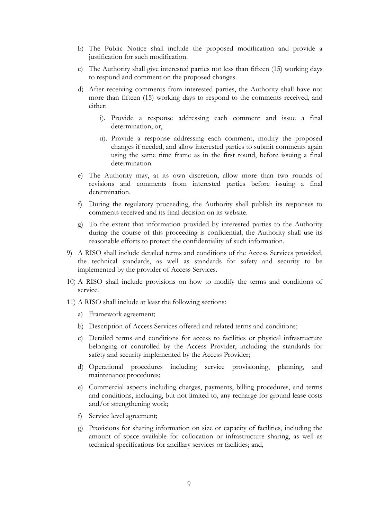- b) The Public Notice shall include the proposed modification and provide a justification for such modification.
- c) The Authority shall give interested parties not less than fifteen (15) working days to respond and comment on the proposed changes.
- d) After receiving comments from interested parties, the Authority shall have not more than fifteen (15) working days to respond to the comments received, and either:
	- i). Provide a response addressing each comment and issue a final determination; or,
	- ii). Provide a response addressing each comment, modify the proposed changes if needed, and allow interested parties to submit comments again using the same time frame as in the first round, before issuing a final determination.
- e) The Authority may, at its own discretion, allow more than two rounds of revisions and comments from interested parties before issuing a final determination.
- f) During the regulatory proceeding, the Authority shall publish its responses to comments received and its final decision on its website.
- g) To the extent that information provided by interested parties to the Authority during the course of this proceeding is confidential, the Authority shall use its reasonable efforts to protect the confidentiality of such information.
- 9) A RISO shall include detailed terms and conditions of the Access Services provided, the technical standards, as well as standards for safety and security to be implemented by the provider of Access Services.
- 10) A RISO shall include provisions on how to modify the terms and conditions of service.
- 11) A RISO shall include at least the following sections:
	- a) Framework agreement;
	- b) Description of Access Services offered and related terms and conditions;
	- c) Detailed terms and conditions for access to facilities or physical infrastructure belonging or controlled by the Access Provider, including the standards for safety and security implemented by the Access Provider;
	- d) Operational procedures including service provisioning, planning, and maintenance procedures;
	- e) Commercial aspects including charges, payments, billing procedures, and terms and conditions, including, but not limited to, any recharge for ground lease costs and/or strengthening work;
	- f) Service level agreement;
	- g) Provisions for sharing information on size or capacity of facilities, including the amount of space available for collocation or infrastructure sharing, as well as technical specifications for ancillary services or facilities; and,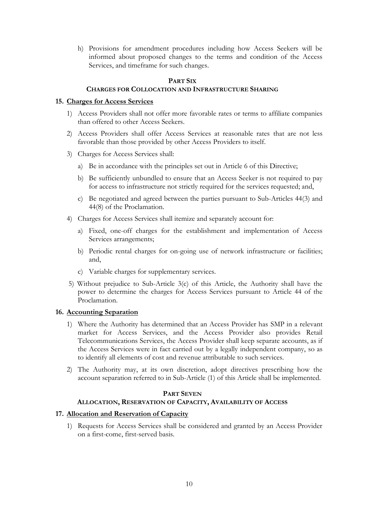h) Provisions for amendment procedures including how Access Seekers will be informed about proposed changes to the terms and condition of the Access Services, and timeframe for such changes.

#### **PART SIX CHARGES FOR COLLOCATION AND INFRASTRUCTURE SHARING**

## **15. Charges for Access Services**

- 1) Access Providers shall not offer more favorable rates or terms to affiliate companies than offered to other Access Seekers.
- 2) Access Providers shall offer Access Services at reasonable rates that are not less favorable than those provided by other Access Providers to itself.
- 3) Charges for Access Services shall:
	- a) Be in accordance with the principles set out in Article 6 of this Directive;
	- b) Be sufficiently unbundled to ensure that an Access Seeker is not required to pay for access to infrastructure not strictly required for the services requested; and,
	- c) Be negotiated and agreed between the parties pursuant to Sub-Articles 44(3) and 44(8) of the Proclamation.
- 4) Charges for Access Services shall itemize and separately account for:
	- a) Fixed, one-off charges for the establishment and implementation of Access Services arrangements;
	- b) Periodic rental charges for on-going use of network infrastructure or facilities; and,
	- c) Variable charges for supplementary services.
- 5) Without prejudice to Sub-Article 3(c) of this Article, the Authority shall have the power to determine the charges for Access Services pursuant to Article 44 of the Proclamation.

## **16. Accounting Separation**

- 1) Where the Authority has determined that an Access Provider has SMP in a relevant market for Access Services, and the Access Provider also provides Retail Telecommunications Services, the Access Provider shall keep separate accounts, as if the Access Services were in fact carried out by a legally independent company, so as to identify all elements of cost and revenue attributable to such services.
- 2) The Authority may, at its own discretion, adopt directives prescribing how the account separation referred to in Sub-Article (1) of this Article shall be implemented.

## **PART SEVEN**

## **ALLOCATION, RESERVATION OF CAPACITY, AVAILABILITY OF ACCESS**

## **17. Allocation and Reservation of Capacity**

1) Requests for Access Services shall be considered and granted by an Access Provider on a first-come, first-served basis.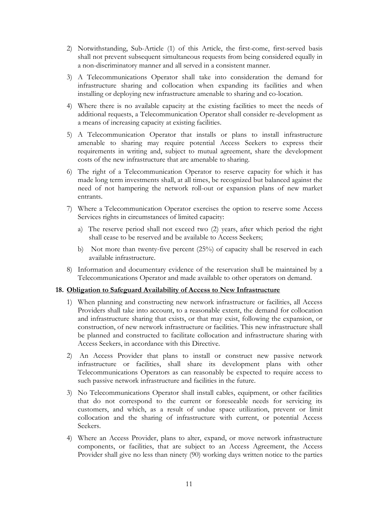- 2) Notwithstanding, Sub-Article (1) of this Article, the first-come, first-served basis shall not prevent subsequent simultaneous requests from being considered equally in a non-discriminatory manner and all served in a consistent manner.
- 3) A Telecommunications Operator shall take into consideration the demand for infrastructure sharing and collocation when expanding its facilities and when installing or deploying new infrastructure amenable to sharing and co-location.
- 4) Where there is no available capacity at the existing facilities to meet the needs of additional requests, a Telecommunication Operator shall consider re-development as a means of increasing capacity at existing facilities.
- 5) A Telecommunication Operator that installs or plans to install infrastructure amenable to sharing may require potential Access Seekers to express their requirements in writing and, subject to mutual agreement, share the development costs of the new infrastructure that are amenable to sharing.
- 6) The right of a Telecommunication Operator to reserve capacity for which it has made long term investments shall, at all times, be recognized but balanced against the need of not hampering the network roll-out or expansion plans of new market entrants.
- 7) Where a Telecommunication Operator exercises the option to reserve some Access Services rights in circumstances of limited capacity:
	- a) The reserve period shall not exceed two (2) years, after which period the right shall cease to be reserved and be available to Access Seekers;
	- b) Not more than twenty-five percent (25%) of capacity shall be reserved in each available infrastructure.
- 8) Information and documentary evidence of the reservation shall be maintained by a Telecommunications Operator and made available to other operators on demand.

#### **18. Obligation to Safeguard Availability of Access to New Infrastructure**

- 1) When planning and constructing new network infrastructure or facilities, all Access Providers shall take into account, to a reasonable extent, the demand for collocation and infrastructure sharing that exists, or that may exist, following the expansion, or construction, of new network infrastructure or facilities. This new infrastructure shall be planned and constructed to facilitate collocation and infrastructure sharing with Access Seekers, in accordance with this Directive.
- 2) An Access Provider that plans to install or construct new passive network infrastructure or facilities, shall share its development plans with other Telecommunications Operators as can reasonably be expected to require access to such passive network infrastructure and facilities in the future.
- 3) No Telecommunications Operator shall install cables, equipment, or other facilities that do not correspond to the current or foreseeable needs for servicing its customers, and which, as a result of undue space utilization, prevent or limit collocation and the sharing of infrastructure with current, or potential Access Seekers.
- 4) Where an Access Provider, plans to alter, expand, or move network infrastructure components, or facilities, that are subject to an Access Agreement, the Access Provider shall give no less than ninety (90) working days written notice to the parties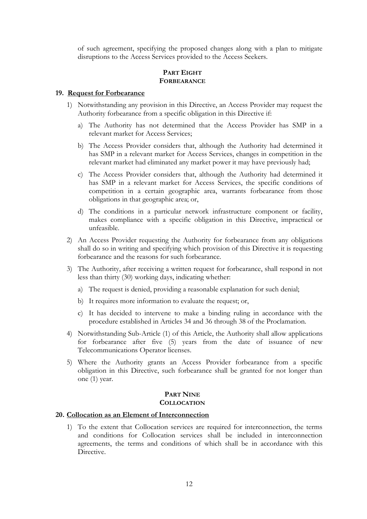of such agreement, specifying the proposed changes along with a plan to mitigate disruptions to the Access Services provided to the Access Seekers.

## **PART EIGHT FORBEARANCE**

#### **19. Request for Forbearance**

- 1) Notwithstanding any provision in this Directive, an Access Provider may request the Authority forbearance from a specific obligation in this Directive if:
	- a) The Authority has not determined that the Access Provider has SMP in a relevant market for Access Services;
	- b) The Access Provider considers that, although the Authority had determined it has SMP in a relevant market for Access Services, changes in competition in the relevant market had eliminated any market power it may have previously had;
	- c) The Access Provider considers that, although the Authority had determined it has SMP in a relevant market for Access Services, the specific conditions of competition in a certain geographic area, warrants forbearance from those obligations in that geographic area; or,
	- d) The conditions in a particular network infrastructure component or facility, makes compliance with a specific obligation in this Directive, impractical or unfeasible.
- 2) An Access Provider requesting the Authority for forbearance from any obligations shall do so in writing and specifying which provision of this Directive it is requesting forbearance and the reasons for such forbearance.
- 3) The Authority, after receiving a written request for forbearance, shall respond in not less than thirty (30) working days, indicating whether:
	- a) The request is denied, providing a reasonable explanation for such denial;
	- b) It requires more information to evaluate the request; or,
	- c) It has decided to intervene to make a binding ruling in accordance with the procedure established in Articles 34 and 36 through 38 of the Proclamation.
- 4) Notwithstanding Sub-Article (1) of this Article, the Authority shall allow applications for forbearance after five (5) years from the date of issuance of new Telecommunications Operator licenses.
- 5) Where the Authority grants an Access Provider forbearance from a specific obligation in this Directive, such forbearance shall be granted for not longer than one (1) year.

## **PART NINE COLLOCATION**

## **20. Collocation as an Element of Interconnection**

1) To the extent that Collocation services are required for interconnection, the terms and conditions for Collocation services shall be included in interconnection agreements, the terms and conditions of which shall be in accordance with this Directive.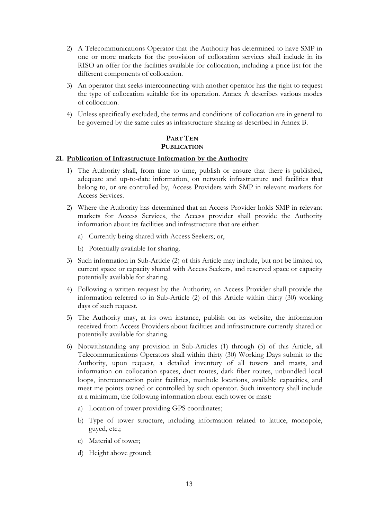- 2) A Telecommunications Operator that the Authority has determined to have SMP in one or more markets for the provision of collocation services shall include in its RISO an offer for the facilities available for collocation, including a price list for the different components of collocation.
- 3) An operator that seeks interconnecting with another operator has the right to request the type of collocation suitable for its operation. Annex A describes various modes of collocation.
- 4) Unless specifically excluded, the terms and conditions of collocation are in general to be governed by the same rules as infrastructure sharing as described in Annex B.

## **PART TEN PUBLICATION**

#### **21. Publication of Infrastructure Information by the Authority**

- 1) The Authority shall, from time to time, publish or ensure that there is published, adequate and up-to-date information, on network infrastructure and facilities that belong to, or are controlled by, Access Providers with SMP in relevant markets for Access Services.
- 2) Where the Authority has determined that an Access Provider holds SMP in relevant markets for Access Services, the Access provider shall provide the Authority information about its facilities and infrastructure that are either:
	- a) Currently being shared with Access Seekers; or,
	- b) Potentially available for sharing.
- 3) Such information in Sub-Article (2) of this Article may include, but not be limited to, current space or capacity shared with Access Seekers, and reserved space or capacity potentially available for sharing.
- 4) Following a written request by the Authority, an Access Provider shall provide the information referred to in Sub-Article (2) of this Article within thirty (30) working days of such request.
- 5) The Authority may, at its own instance, publish on its website, the information received from Access Providers about facilities and infrastructure currently shared or potentially available for sharing.
- 6) Notwithstanding any provision in Sub-Articles (1) through (5) of this Article, all Telecommunications Operators shall within thirty (30) Working Days submit to the Authority, upon request, a detailed inventory of all towers and masts, and information on collocation spaces, duct routes, dark fiber routes, unbundled local loops, interconnection point facilities, manhole locations, available capacities, and meet me points owned or controlled by such operator. Such inventory shall include at a minimum, the following information about each tower or mast:
	- a) Location of tower providing GPS coordinates;
	- b) Type of tower structure, including information related to lattice, monopole, guyed, etc.;
	- c) Material of tower;
	- d) Height above ground;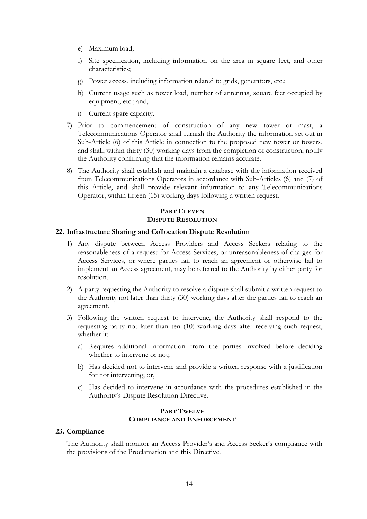- e) Maximum load;
- f) Site specification, including information on the area in square feet, and other characteristics;
- g) Power access, including information related to grids, generators, etc.;
- h) Current usage such as tower load, number of antennas, square feet occupied by equipment, etc.; and,
- i) Current spare capacity.
- 7) Prior to commencement of construction of any new tower or mast, a Telecommunications Operator shall furnish the Authority the information set out in Sub-Article (6) of this Article in connection to the proposed new tower or towers, and shall, within thirty (30) working days from the completion of construction, notify the Authority confirming that the information remains accurate.
- 8) The Authority shall establish and maintain a database with the information received from Telecommunications Operators in accordance with Sub-Articles (6) and (7) of this Article, and shall provide relevant information to any Telecommunications Operator, within fifteen (15) working days following a written request.

## **PART ELEVEN DISPUTE RESOLUTION**

## **22. Infrastructure Sharing and Collocation Dispute Resolution**

- 1) Any dispute between Access Providers and Access Seekers relating to the reasonableness of a request for Access Services, or unreasonableness of charges for Access Services, or where parties fail to reach an agreement or otherwise fail to implement an Access agreement, may be referred to the Authority by either party for resolution.
- 2) A party requesting the Authority to resolve a dispute shall submit a written request to the Authority not later than thirty (30) working days after the parties fail to reach an agreement.
- 3) Following the written request to intervene, the Authority shall respond to the requesting party not later than ten (10) working days after receiving such request, whether it:
	- a) Requires additional information from the parties involved before deciding whether to intervene or not;
	- b) Has decided not to intervene and provide a written response with a justification for not intervening; or,
	- c) Has decided to intervene in accordance with the procedures established in the Authority's Dispute Resolution Directive.

## **PART TWELVE COMPLIANCE AND ENFORCEMENT**

#### **23. Compliance**

The Authority shall monitor an Access Provider's and Access Seeker's compliance with the provisions of the Proclamation and this Directive.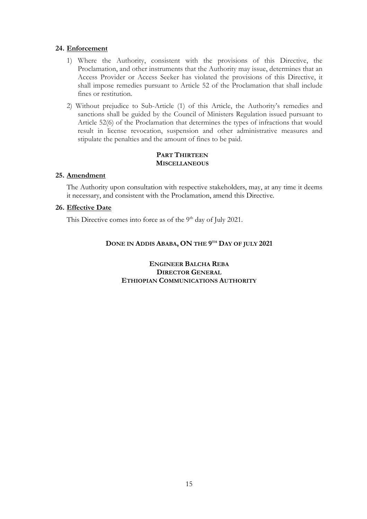## **24. Enforcement**

- 1) Where the Authority, consistent with the provisions of this Directive, the Proclamation, and other instruments that the Authority may issue, determines that an Access Provider or Access Seeker has violated the provisions of this Directive, it shall impose remedies pursuant to Article 52 of the Proclamation that shall include fines or restitution.
- 2) Without prejudice to Sub-Article (1) of this Article, the Authority's remedies and sanctions shall be guided by the Council of Ministers Regulation issued pursuant to Article 52(6) of the Proclamation that determines the types of infractions that would result in license revocation, suspension and other administrative measures and stipulate the penalties and the amount of fines to be paid.

## **PART THIRTEEN MISCELLANEOUS**

## **25. Amendment**

The Authority upon consultation with respective stakeholders, may, at any time it deems it necessary, and consistent with the Proclamation, amend this Directive.

## **26. Effective Date**

This Directive comes into force as of the 9<sup>th</sup> day of July 2021.

## **DONE IN ADDIS ABABA, ON THE 9 TH DAY OF JULY 2021**

## **ENGINEER BALCHA REBA DIRECTOR GENERAL ETHIOPIAN COMMUNICATIONS AUTHORITY**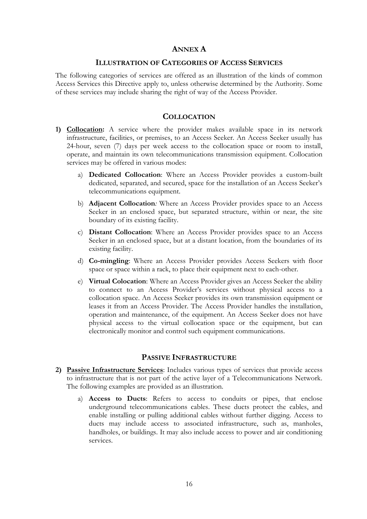## **ANNEX A**

#### **ILLUSTRATION OF CATEGORIES OF ACCESS SERVICES**

The following categories of services are offered as an illustration of the kinds of common Access Services this Directive apply to, unless otherwise determined by the Authority. Some of these services may include sharing the right of way of the Access Provider.

#### **COLLOCATION**

- **1) Collocation:** A service where the provider makes available space in its network infrastructure, facilities, or premises, to an Access Seeker. An Access Seeker usually has 24-hour, seven (7) days per week access to the collocation space or room to install, operate, and maintain its own telecommunications transmission equipment. Collocation services may be offered in various modes:
	- a) **Dedicated Collocation**: Where an Access Provider provides a custom-built dedicated, separated, and secured, space for the installation of an Access Seeker's telecommunications equipment.
	- b) **Adjacent Collocation***:* Where an Access Provider provides space to an Access Seeker in an enclosed space, but separated structure, within or near, the site boundary of its existing facility.
	- c) **Distant Collocation**: Where an Access Provider provides space to an Access Seeker in an enclosed space, but at a distant location, from the boundaries of its existing facility.
	- d) **Co-mingling**: Where an Access Provider provides Access Seekers with floor space or space within a rack, to place their equipment next to each-other.
	- e) **Virtual Colocation**: Where an Access Provider gives an Access Seeker the ability to connect to an Access Provider's services without physical access to a collocation space. An Access Seeker provides its own transmission equipment or leases it from an Access Provider. The Access Provider handles the installation, operation and maintenance, of the equipment. An Access Seeker does not have physical access to the virtual collocation space or the equipment, but can electronically monitor and control such equipment communications.

## **PASSIVE INFRASTRUCTURE**

- **2) Passive Infrastructure Services**: Includes various types of services that provide access to infrastructure that is not part of the active layer of a Telecommunications Network. The following examples are provided as an illustration.
	- a) **Access to Ducts**: Refers to access to conduits or pipes, that enclose underground telecommunications cables. These ducts protect the cables, and enable installing or pulling additional cables without further digging. Access to ducts may include access to associated infrastructure, such as, manholes, handholes, or buildings. It may also include access to power and air conditioning services.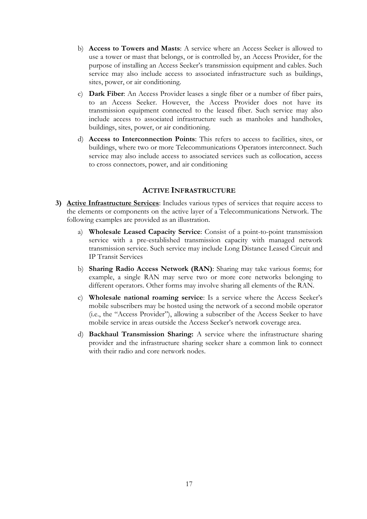- b) **Access to Towers and Masts**: A service where an Access Seeker is allowed to use a tower or mast that belongs, or is controlled by, an Access Provider, for the purpose of installing an Access Seeker's transmission equipment and cables. Such service may also include access to associated infrastructure such as buildings, sites, power, or air conditioning.
- c) **Dark Fiber**: An Access Provider leases a single fiber or a number of fiber pairs, to an Access Seeker. However, the Access Provider does not have its transmission equipment connected to the leased fiber. Such service may also include access to associated infrastructure such as manholes and handholes, buildings, sites, power, or air conditioning.
- d) **Access to Interconnection Points**: This refers to access to facilities, sites, or buildings, where two or more Telecommunications Operators interconnect. Such service may also include access to associated services such as collocation, access to cross connectors, power, and air conditioning

## **ACTIVE INFRASTRUCTURE**

- **3) Active Infrastructure Services**: Includes various types of services that require access to the elements or components on the active layer of a Telecommunications Network. The following examples are provided as an illustration.
	- a) **Wholesale Leased Capacity Service**: Consist of a point-to-point transmission service with a pre-established transmission capacity with managed network transmission service. Such service may include Long Distance Leased Circuit and IP Transit Services
	- b) **Sharing Radio Access Network (RAN)**: Sharing may take various forms; for example, a single RAN may serve two or more core networks belonging to different operators. Other forms may involve sharing all elements of the RAN.
	- c) **Wholesale national roaming service**: Is a service where the Access Seeker's mobile subscribers may be hosted using the network of a second mobile operator (i.e., the "Access Provider"), allowing a subscriber of the Access Seeker to have mobile service in areas outside the Access Seeker's network coverage area.
	- d) **Backhaul Transmission Sharing:** A service where the infrastructure sharing provider and the infrastructure sharing seeker share a common link to connect with their radio and core network nodes.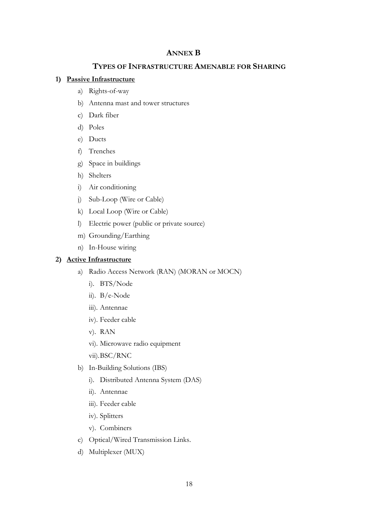## **ANNEX B**

## **TYPES OF INFRASTRUCTURE AMENABLE FOR SHARING**

## **1) Passive Infrastructure**

- a) Rights-of-way
- b) Antenna mast and tower structures
- c) Dark fiber
- d) Poles
- e) Ducts
- f) Trenches
- g) Space in buildings
- h) Shelters
- i) Air conditioning
- j) Sub-Loop (Wire or Cable)
- k) Local Loop (Wire or Cable)
- l) Electric power (public or private source)
- m) Grounding/Earthing
- n) In-House wiring

## **2) Active Infrastructure**

- a) Radio Access Network (RAN) (MORAN or MOCN)
	- i). BTS/Node
	- ii). B/e-Node
	- iii). Antennae
	- iv). Feeder cable
	- v). RAN
	- vi). Microwave radio equipment
	- vii).BSC/RNC
- b) In-Building Solutions (IBS)
	- i). Distributed Antenna System (DAS)
	- ii). Antennae
	- iii). Feeder cable
	- iv). Splitters
	- v). Combiners
- c) Optical/Wired Transmission Links.
- d) Multiplexer (MUX)